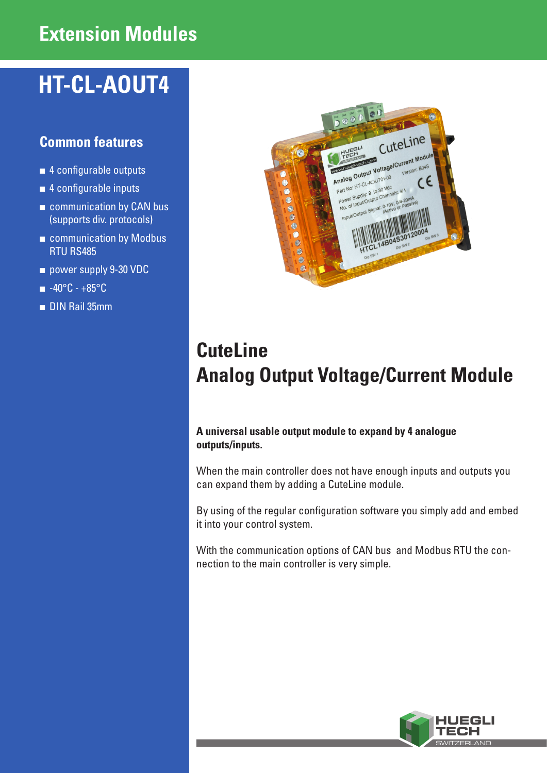## **Extension Modules**

# **HT-CL-AOUT4**

### **Common features**

- 4 configurable outputs
- 4 configurable inputs
- communication by CAN bus (supports div. protocols)
- communication by Modbus RTU RS485
- power supply 9-30 VDC
- -40°C +85°C
- DIN Rail 35mm



## **CuteLine Analog Output Voltage/Current Module**

#### **A universal usable output module to expand by 4 analogue outputs/inputs.**

When the main controller does not have enough inputs and outputs you can expand them by adding a CuteLine module.

By using of the regular configuration software you simply add and embed it into your control system.

With the communication options of CAN bus and Modbus RTU the connection to the main controller is very simple.